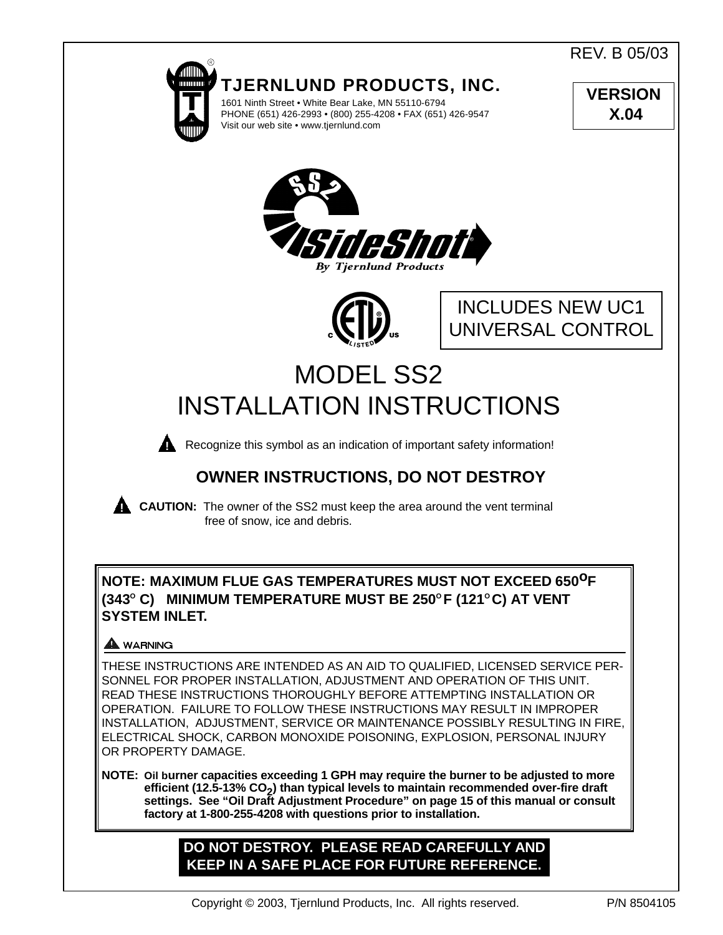REV. B 05/03



1601 Ninth Street • White Bear Lake, MN 55110-6794 PHONE (651) 426-2993 • (800) 255-4208 • FAX (651) 426-9547 **VERSION X.04**





INCLUDES NEW UC1 UNIVERSAL CONTROL

# MODEL SS2 INSTALLATION INSTRUCTIONS



**Recognize this symbol as an indication of important safety information!** 

# **OWNER INSTRUCTIONS, DO NOT DESTROY**

**CAUTION:** The owner of the SS2 must keep the area around the vent terminal free of snow, ice and debris.

# **NOTE: MAXIMUM FLUE GAS TEMPERATURES MUST NOT EXCEED 650oF (343O C) MINIMUM TEMPERATURE MUST BE 250O F (121O C) AT VENT SYSTEM INLET.**

# **A** WARNING

THESE INSTRUCTIONS ARE INTENDED AS AN AID TO QUALIFIED, LICENSED SERVICE PER-SONNEL FOR PROPER INSTALLATION, ADJUSTMENT AND OPERATION OF THIS UNIT. READ THESE INSTRUCTIONS THOROUGHLY BEFORE ATTEMPTING INSTALLATION OR OPERATION. FAILURE TO FOLLOW THESE INSTRUCTIONS MAY RESULT IN IMPROPER INSTALLATION, ADJUSTMENT, SERVICE OR MAINTENANCE POSSIBLY RESULTING IN FIRE, ELECTRICAL SHOCK, CARBON MONOXIDE POISONING, EXPLOSION, PERSONAL INJURY OR PROPERTY DAMAGE.

**NOTE: Oil burner capacities exceeding 1 GPH may require the burner to be adjusted to more efficient (12.5-13% CO<sup>2</sup> ) than typical levels to maintain recommended over-fire draft settings. See "Oil Draft Adjustment Procedure" on page 15 of this manual or consult factory at 1-800-255-4208 with questions prior to installation.**

# **DO NOT DESTROY. PLEASE READ CAREFULLY AND KEEP IN A SAFE PLACE FOR FUTURE REFERENCE.**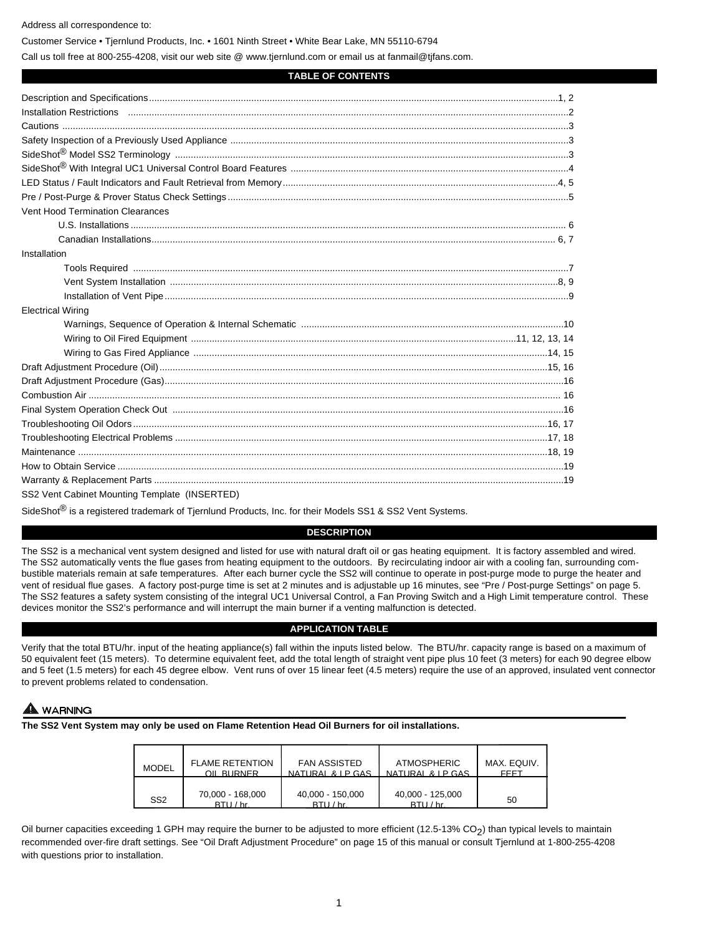Address all correspondence to:

Customer Service • Tjernlund Products, Inc. • 1601 Ninth Street • White Bear Lake, MN 55110-6794

Call us toll free at 800-255-4208, visit our web site @ www.tjernlund.com or email us at fanmail@tjfans.com.

### **TABLE OF CONTENTS**

| Vent Hood Termination Clearances                     |  |
|------------------------------------------------------|--|
|                                                      |  |
|                                                      |  |
| Installation                                         |  |
|                                                      |  |
|                                                      |  |
|                                                      |  |
| <b>Electrical Wiring</b>                             |  |
|                                                      |  |
|                                                      |  |
|                                                      |  |
|                                                      |  |
|                                                      |  |
|                                                      |  |
|                                                      |  |
|                                                      |  |
|                                                      |  |
|                                                      |  |
|                                                      |  |
|                                                      |  |
| CCO <i>Nont Cobinet Mounting</i> Templete (INCEDTED) |  |

SS2 Vent Cabinet Mounting Template (INSERTED)

SideShot<sup>®</sup> is a registered trademark of Tjernlund Products, Inc. for their Models SS1 & SS2 Vent Systems.

# **DESCRIPTION**

The SS2 is a mechanical vent system designed and listed for use with natural draft oil or gas heating equipment. It is factory assembled and wired. The SS2 automatically vents the flue gases from heating equipment to the outdoors. By recirculating indoor air with a cooling fan, surrounding combustible materials remain at safe temperatures. After each burner cycle the SS2 will continue to operate in post-purge mode to purge the heater and vent of residual flue gases. A factory post-purge time is set at 2 minutes and is adjustable up 16 minutes, see "Pre / Post-purge Settings" on page 5. The SS2 features a safety system consisting of the integral UC1 Universal Control, a Fan Proving Switch and a High Limit temperature control. These devices monitor the SS2's performance and will interrupt the main burner if a venting malfunction is detected.

# **APPLICATION TABLE**

Verify that the total BTU/hr. input of the heating appliance(s) fall within the inputs listed below. The BTU/hr. capacity range is based on a maximum of 50 equivalent feet (15 meters). To determine equivalent feet, add the total length of straight vent pipe plus 10 feet (3 meters) for each 90 degree elbow and 5 feet (1.5 meters) for each 45 degree elbow. Vent runs of over 15 linear feet (4.5 meters) require the use of an approved, insulated vent connector to prevent problems related to condensation.

# **WARNING**

**The SS2 Vent System may only be used on Flame Retention Head Oil Burners for oil installations.**

| <b>MODEL</b>    | <b>FLAME RETENTION</b>      | <b>FAN ASSISTED</b>         | <b>ATMOSPHERIC</b>          | MAX. EQUIV. |
|-----------------|-----------------------------|-----------------------------|-----------------------------|-------------|
|                 | OIL BLIRNER                 | NATURAL & LP GAS            | NATURAL & LP GAS            | FFFT        |
| SS <sub>2</sub> | 70,000 - 168,000<br>RTII/hr | 40,000 - 150,000<br>RTII/hr | 40,000 - 125,000<br>RTII/hr | 50          |

Oil burner capacities exceeding 1 GPH may require the burner to be adjusted to more efficient (12.5-13% CO<sub>2</sub>) than typical levels to maintain recommended over-fire draft settings. See "Oil Draft Adjustment Procedure" on page 15 of this manual or consult Tjernlund at 1-800-255-4208 with questions prior to installation.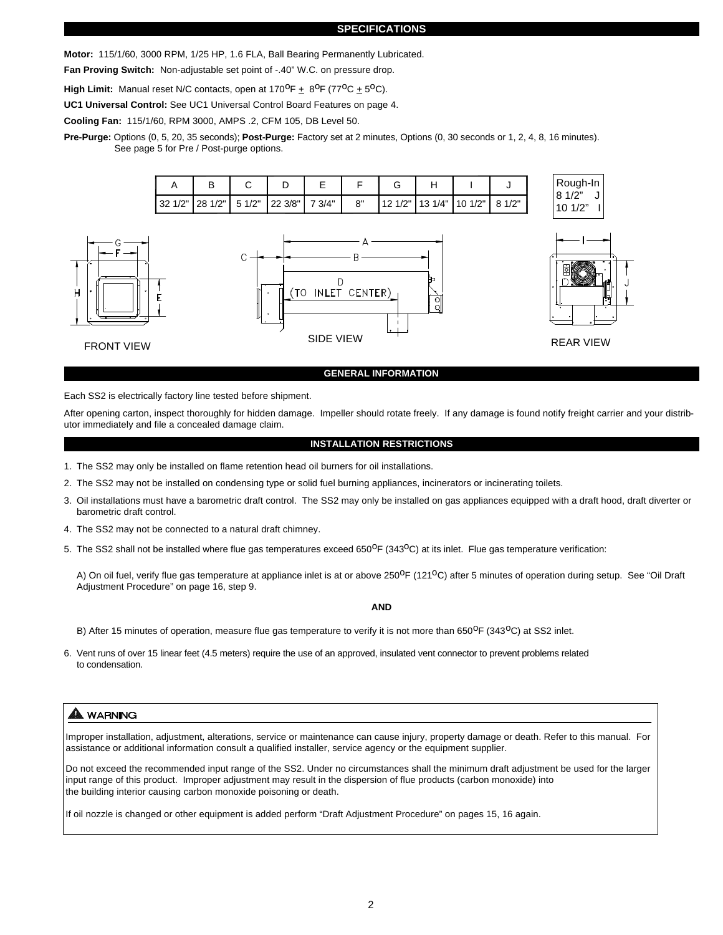#### **SPECIFICATIONS**

**Motor:** 115/1/60, 3000 RPM, 1/25 HP, 1.6 FLA, Ball Bearing Permanently Lubricated.

**Fan Proving Switch:** Non-adjustable set point of -.40" W.C. on pressure drop.

**High Limit:** Manual reset N/C contacts, open at  $170^{\circ}F + 8^{\circ}F (77^{\circ}C + 5^{\circ}C)$ .

**UC1 Universal Control:** See UC1 Universal Control Board Features on page 4.

**Cooling Fan:** 115/1/60, RPM 3000, AMPS .2, CFM 105, DB Level 50.

**Pre-Purge:** Options (0, 5, 20, 35 seconds); **Post-Purge:** Factory set at 2 minutes, Options (0, 30 seconds or 1, 2, 4, 8, 16 minutes). See page 5 for Pre / Post-purge options.



## **GENERAL INFORMATION**

Each SS2 is electrically factory line tested before shipment.

After opening carton, inspect thoroughly for hidden damage. Impeller should rotate freely. If any damage is found notify freight carrier and your distributor immediately and file a concealed damage claim.

#### **INSTALLATION RESTRICTIONS**

- 1. The SS2 may only be installed on flame retention head oil burners for oil installations.
- 2. The SS2 may not be installed on condensing type or solid fuel burning appliances, incinerators or incinerating toilets.
- 3. Oil installations must have a barometric draft control. The SS2 may only be installed on gas appliances equipped with a draft hood, draft diverter or barometric draft control.
- 4. The SS2 may not be connected to a natural draft chimney.
- 5. The SS2 shall not be installed where flue gas temperatures exceed 650 $^{\circ}$ F (343 $^{\circ}$ C) at its inlet. Flue gas temperature verification:

A) On oil fuel, verify flue gas temperature at appliance inlet is at or above 250<sup>0</sup>F (121<sup>0</sup>C) after 5 minutes of operation during setup. See "Oil Draft Adjustment Procedure" on page 16, step 9.

**AND**

- B) After 15 minutes of operation, measure flue gas temperature to verify it is not more than 650<sup>o</sup>F (343<sup>o</sup>C) at SS2 inlet.
- 6. Vent runs of over 15 linear feet (4.5 meters) require the use of an approved, insulated vent connector to prevent problems related to condensation.

# A WARNING

Improper installation, adjustment, alterations, service or maintenance can cause injury, property damage or death. Refer to this manual. For assistance or additional information consult a qualified installer, service agency or the equipment supplier.

Do not exceed the recommended input range of the SS2. Under no circumstances shall the minimum draft adjustment be used for the larger input range of this product. Improper adjustment may result in the dispersion of flue products (carbon monoxide) into the building interior causing carbon monoxide poisoning or death.

If oil nozzle is changed or other equipment is added perform "Draft Adjustment Procedure" on pages 15, 16 again.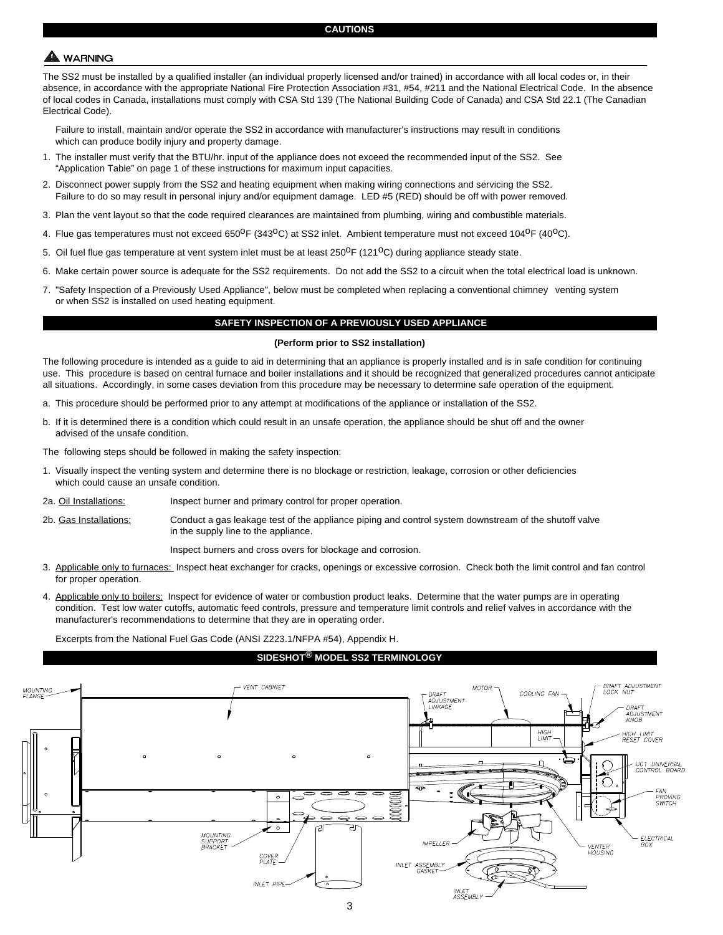# **WARNING**

The SS2 must be installed by a qualified installer (an individual properly licensed and/or trained) in accordance with all local codes or, in their absence, in accordance with the appropriate National Fire Protection Association #31, #54, #211 and the National Electrical Code. In the absence of local codes in Canada, installations must comply with CSA Std 139 (The National Building Code of Canada) and CSA Std 22.1 (The Canadian Electrical Code).

Failure to install, maintain and/or operate the SS2 in accordance with manufacturer's instructions may result in conditions which can produce bodily injury and property damage.

- 1. The installer must verify that the BTU/hr. input of the appliance does not exceed the recommended input of the SS2. See "Application Table" on page 1 of these instructions for maximum input capacities.
- 2. Disconnect power supply from the SS2 and heating equipment when making wiring connections and servicing the SS2. Failure to do so may result in personal injury and/or equipment damage. LED #5 (RED) should be off with power removed.
- 3. Plan the vent layout so that the code required clearances are maintained from plumbing, wiring and combustible materials.
- 4. Flue gas temperatures must not exceed 650<sup>o</sup>F (343<sup>o</sup>C) at SS2 inlet. Ambient temperature must not exceed 104<sup>o</sup>F (40<sup>o</sup>C).
- 5. Oil fuel flue gas temperature at vent system inlet must be at least 250<sup>o</sup>F (121<sup>o</sup>C) during appliance steady state.
- 6. Make certain power source is adequate for the SS2 requirements. Do not add the SS2 to a circuit when the total electrical load is unknown.
- 7. "Safety Inspection of a Previously Used Appliance", below must be completed when replacing a conventional chimney venting system or when SS2 is installed on used heating equipment.

# **SAFETY INSPECTION OF A PREVIOUSLY USED APPLIANCE**

#### **(Perform prior to SS2 installation)**

The following procedure is intended as a guide to aid in determining that an appliance is properly installed and is in safe condition for continuing use. This procedure is based on central furnace and boiler installations and it should be recognized that generalized procedures cannot anticipate all situations. Accordingly, in some cases deviation from this procedure may be necessary to determine safe operation of the equipment.

- a. This procedure should be performed prior to any attempt at modifications of the appliance or installation of the SS2.
- b. If it is determined there is a condition which could result in an unsafe operation, the appliance should be shut off and the owner advised of the unsafe condition.

The following steps should be followed in making the safety inspection:

- 1. Visually inspect the venting system and determine there is no blockage or restriction, leakage, corrosion or other deficiencies which could cause an unsafe condition.
- 2a. Oil Installations: Inspect burner and primary control for proper operation.
- 2b. Gas Installations: Conduct a gas leakage test of the appliance piping and control system downstream of the shutoff valve in the supply line to the appliance.

Inspect burners and cross overs for blockage and corrosion.

- 3. Applicable only to furnaces: Inspect heat exchanger for cracks, openings or excessive corrosion. Check both the limit control and fan control for proper operation.
- 4. Applicable only to boilers: Inspect for evidence of water or combustion product leaks. Determine that the water pumps are in operating condition. Test low water cutoffs, automatic feed controls, pressure and temperature limit controls and relief valves in accordance with the manufacturer's recommendations to determine that they are in operating order.

Excerpts from the National Fuel Gas Code (ANSI Z223.1/NFPA #54), Appendix H.

# **SIDESHOT® MODEL SS2 TERMINOLOGY**

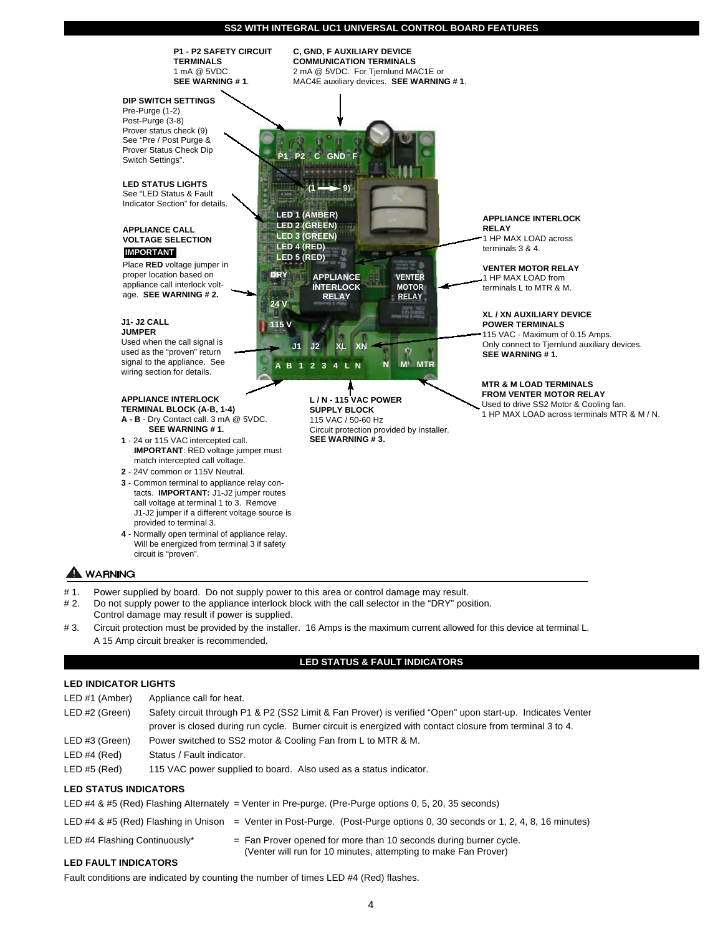

# 3. Circuit protection must be provided by the installer. 16 Amps is the maximum current allowed for this device at terminal L.**V** A 15 Amp circuit breaker is recommended.

# **LED STATUS & FAULT INDICATORS**

# **LED INDICATOR LIGHTS**

| LED #1 (Amber)               | Appliance call for heat.                                                                                                                                                                                                |  |
|------------------------------|-------------------------------------------------------------------------------------------------------------------------------------------------------------------------------------------------------------------------|--|
| LED #2 (Green)               | Safety circuit through P1 & P2 (SS2 Limit & Fan Prover) is verified "Open" upon start-up. Indicates Venter<br>prover is closed during run cycle. Burner circuit is energized with contact closure from terminal 3 to 4. |  |
| LED #3 (Green)               | Power switched to SS2 motor & Cooling Fan from L to MTR & M.                                                                                                                                                            |  |
| LED#4 (Red)                  | Status / Fault indicator.                                                                                                                                                                                               |  |
| LED#5 (Red)                  | 115 VAC power supplied to board. Also used as a status indicator.                                                                                                                                                       |  |
| <b>LED STATUS INDICATORS</b> |                                                                                                                                                                                                                         |  |

LED #4 & #5 (Red) Flashing Alternately = Venter in Pre-purge. (Pre-Purge options 0, 5, 20, 35 seconds)

- LED #4 & #5 (Red) Flashing in Unison = Venter in Post-Purge. (Post-Purge options 0, 30 seconds or 1, 2, 4, 8, 16 minutes)
- LED #4 Flashing Continuously\*  $=$  Fan Prover opened for more than 10 seconds during burner cycle. (Venter will run for 10 minutes, attempting to make Fan Prover)

# **LED FAULT INDICATORS**

Fault conditions are indicated by counting the number of times LED #4 (Red) flashes.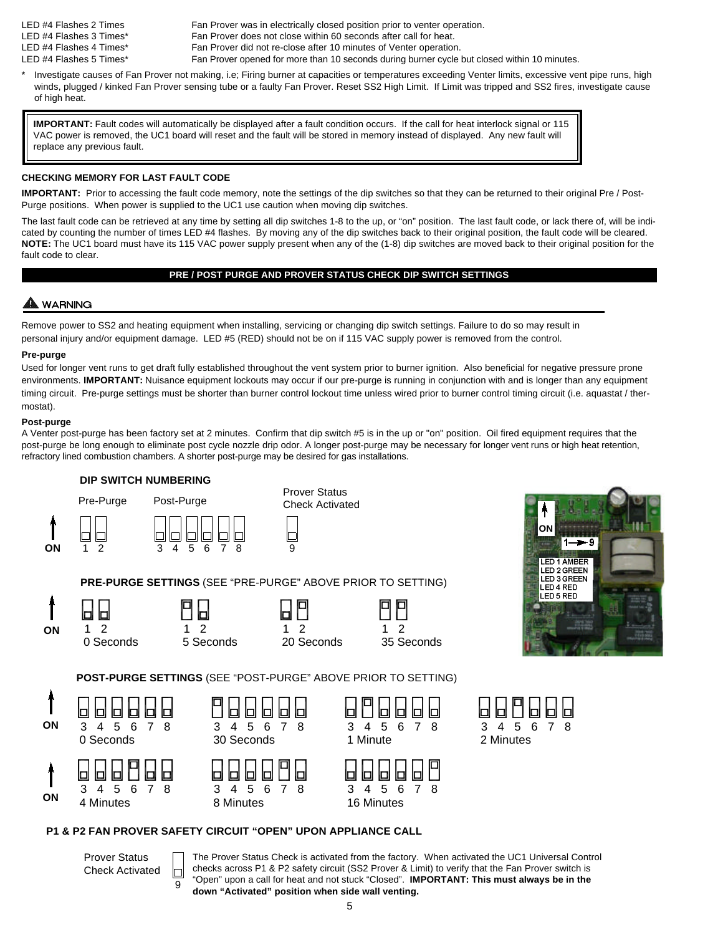- LED #4 Flashes 2 Times Fan Prover was in electrically closed position prior to venter operation. LED #4 Flashes 3 Times\* Fan Prover does not close within 60 seconds after call for heat. LED #4 Flashes 4 Times\* Fan Prover did not re-close after 10 minutes of Venter operation.
- LED #4 Flashes 5 Times\* Fan Prover opened for more than 10 seconds during burner cycle but closed within 10 minutes.
- Investigate causes of Fan Prover not making, i.e; Firing burner at capacities or temperatures exceeding Venter limits, excessive vent pipe runs, high winds, plugged / kinked Fan Prover sensing tube or a faulty Fan Prover. Reset SS2 High Limit. If Limit was tripped and SS2 fires, investigate cause of high heat.

replace any previous fault. **IMPORTANT:** Fault codes will automatically be displayed after a fault condition occurs. If the call for heat interlock signal or 115 VAC power is removed, the UC1 board will reset and the fault will be stored in memory instead of displayed. Any new fault will

# **CHECKING MEMORY FOR LAST FAULT CODE**

**IMPORTANT:** Prior to accessing the fault code memory, note the settings of the dip switches so that they can be returned to their original Pre / Post-Purge positions. When power is supplied to the UC1 use caution when moving dip switches.

The last fault code can be retrieved at any time by setting all dip switches 1-8 to the up, or "on" position. The last fault code, or lack there of, will be indicated by counting the number of times LED #4 flashes. By moving any of the dip switches back to their original position, the fault code will be cleared. **NOTE:** The UC1 board must have its 115 VAC power supply present when any of the (1-8) dip switches are moved back to their original position for the fault code to clear.

# **PRE / POST PURGE AND PROVER STATUS CHECK DIP SWITCH SETTINGS**

# WARNING

Remove power to SS2 and heating equipment when installing, servicing or changing dip switch settings. Failure to do so may result in personal injury and/or equipment damage. LED #5 (RED) should not be on if 115 VAC supply power is removed from the control.

# **Pre-purge**

Used for longer vent runs to get draft fully established throughout the vent system prior to burner ignition. Also beneficial for negative pressure prone environments. **IMPORTANT:** Nuisance equipment lockouts may occur if our pre-purge is running in conjunction with and is longer than any equipment timing circuit. Pre-purge settings must be shorter than burner control lockout time unless wired prior to burner control timing circuit (i.e. aquastat / thermostat).

# **Post-purge**

A Venter post-purge has been factory set at 2 minutes. Confirm that dip switch #5 is in the up or "on" position. Oil fired equipment requires that the post-purge be long enough to eliminate post cycle nozzle drip odor. A longer post-purge may be necessary for longer vent runs or high heat retention, refractory lined combustion chambers. A shorter post-purge may be desired for gas installations.



Prover Status Check Activated

9

The Prover Status Check is activated from the factory. When activated the UC1 Universal Control checks across P1 & P2 safety circuit (SS2 Prover & Limit) to verify that the Fan Prover switch is "Open" upon a call for heat and not stuck "Closed". **IMPORTANT: This must always be in the down "Activated" position when side wall venting.**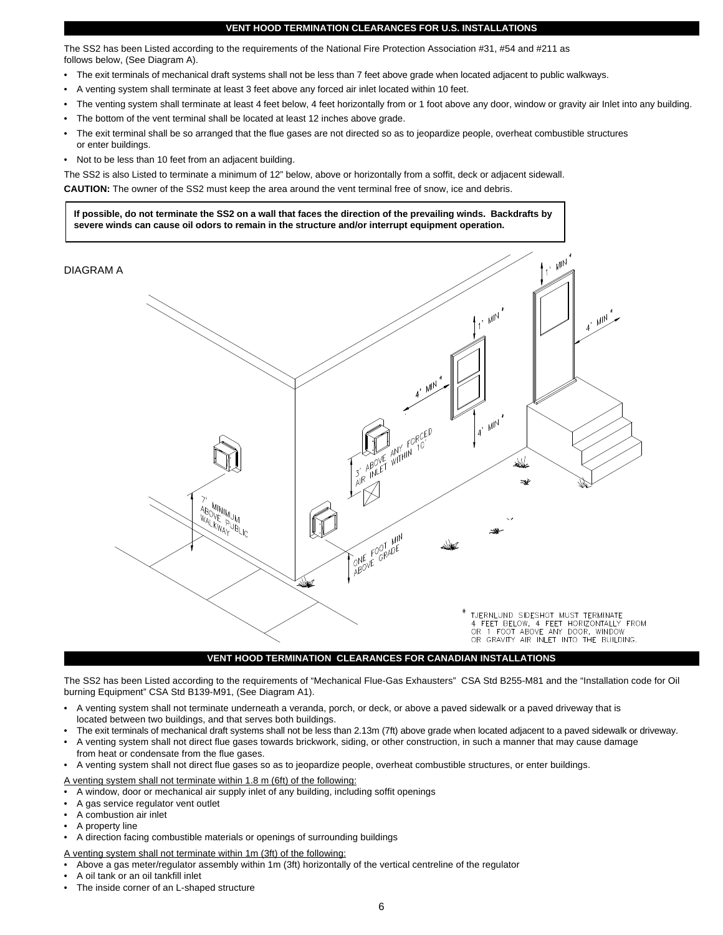#### **VENT HOOD TERMINATION CLEARANCES FOR U.S. INSTALLATIONS**

The SS2 has been Listed according to the requirements of the National Fire Protection Association #31, #54 and #211 as follows below, (See Diagram A).

- The exit terminals of mechanical draft systems shall not be less than 7 feet above grade when located adjacent to public walkways.
- A venting system shall terminate at least 3 feet above any forced air inlet located within 10 feet.
- The venting system shall terminate at least 4 feet below, 4 feet horizontally from or 1 foot above any door, window or gravity air Inlet into any building.
- The bottom of the vent terminal shall be located at least 12 inches above grade.
- The exit terminal shall be so arranged that the flue gases are not directed so as to jeopardize people, overheat combustible structures or enter buildings.
- Not to be less than 10 feet from an adjacent building.

The SS2 is also Listed to terminate a minimum of 12" below, above or horizontally from a soffit, deck or adjacent sidewall. **CAUTION:** The owner of the SS2 must keep the area around the vent terminal free of snow, ice and debris.

**If possible, do not terminate the SS2 on a wall that faces the direction of the prevailing winds. Backdrafts by severe winds can cause oil odors to remain in the structure and/or interrupt equipment operation.**

DIAGRAM A



# **VENT HOOD TERMINATION CLEARANCES FOR CANADIAN INSTALLATIONS**

The SS2 has been Listed according to the requirements of "Mechanical Flue-Gas Exhausters" CSA Std B255-M81 and the "Installation code for Oil burning Equipment" CSA Std B139-M91, (See Diagram A1).

- A venting system shall not terminate underneath a veranda, porch, or deck, or above a paved sidewalk or a paved driveway that is located between two buildings, and that serves both buildings.
- The exit terminals of mechanical draft systems shall not be less than 2.13m (7ft) above grade when located adjacent to a paved sidewalk or driveway.
- A venting system shall not direct flue gases towards brickwork, siding, or other construction, in such a manner that may cause damage from heat or condensate from the flue gases.
- A venting system shall not direct flue gases so as to jeopardize people, overheat combustible structures, or enter buildings.

A venting system shall not terminate within 1.8 m (6ft) of the following:

- A window, door or mechanical air supply inlet of any building, including soffit openings
- A gas service regulator vent outlet
- A combustion air inlet
- A property line
- A direction facing combustible materials or openings of surrounding buildings
- A venting system shall not terminate within 1m (3ft) of the following:
- Above a gas meter/regulator assembly within 1m (3ft) horizontally of the vertical centreline of the regulator
- A oil tank or an oil tankfill inlet
- The inside corner of an L-shaped structure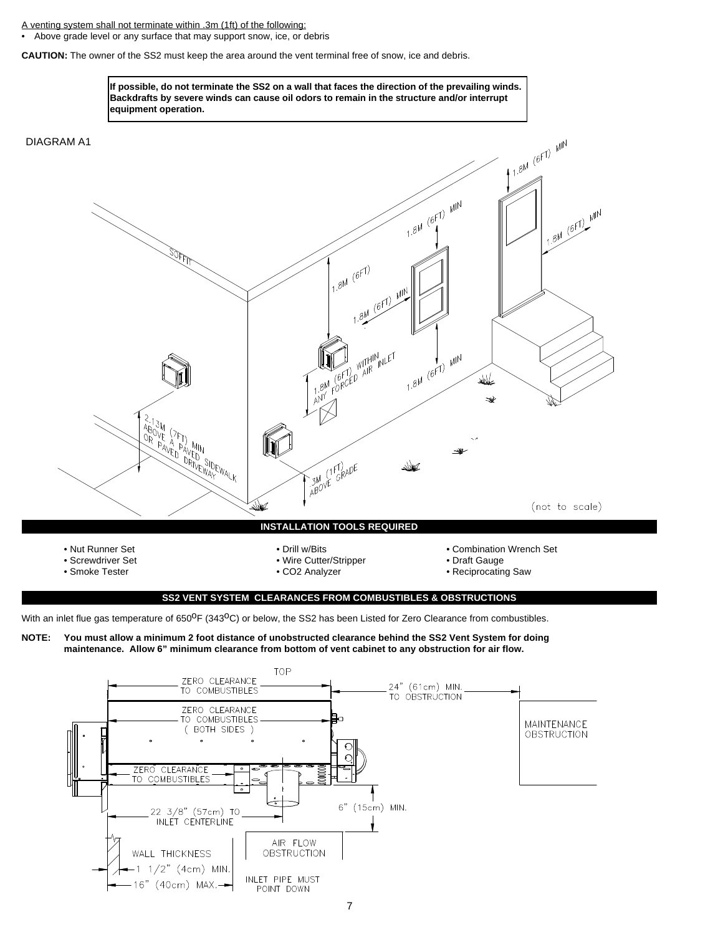A venting system shall not terminate within .3m (1ft) of the following:

• Above grade level or any surface that may support snow, ice, or debris

**CAUTION:** The owner of the SS2 must keep the area around the vent terminal free of snow, ice and debris.



With an inlet flue gas temperature of 650<sup>o</sup>F (343<sup>o</sup>C) or below, the SS2 has been Listed for Zero Clearance from combustibles.

**NOTE: You must allow a minimum 2 foot distance of unobstructed clearance behind the SS2 Vent System for doing maintenance. Allow 6" minimum clearance from bottom of vent cabinet to any obstruction for air flow.** 

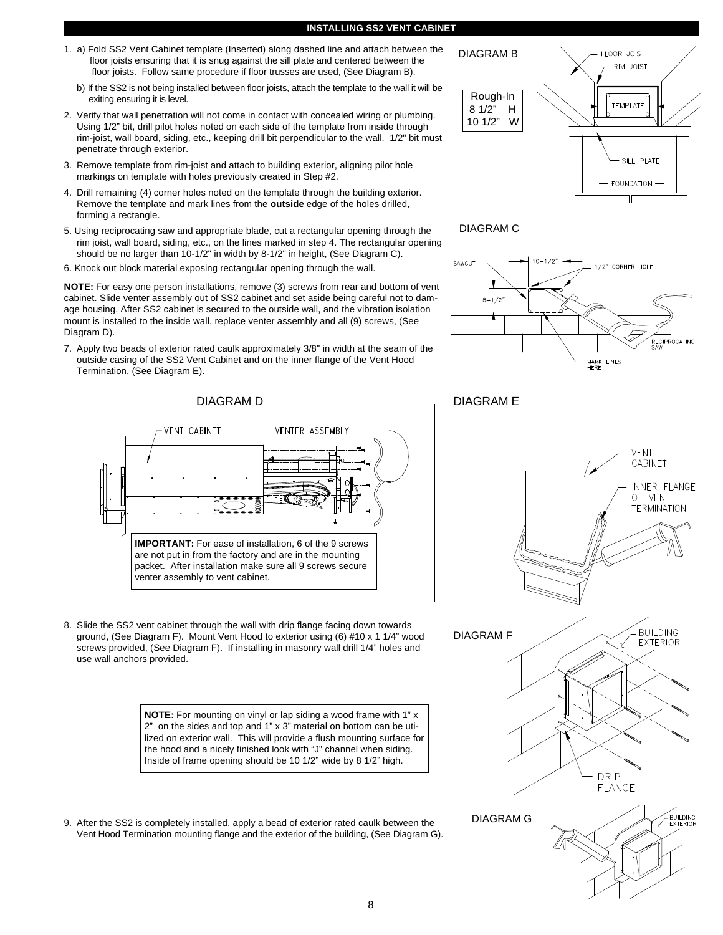#### **INSTALLING SS2 VENT CABINET**

- 1. a) Fold SS2 Vent Cabinet template (Inserted) along dashed line and attach between the floor joists ensuring that it is snug against the sill plate and centered between the floor joists. Follow same procedure if floor trusses are used, (See Diagram B).
	- b) If the SS2 is not being installed between floor joists, attach the template to the wall it will be exiting ensuring it is level.
- 2. Verify that wall penetration will not come in contact with concealed wiring or plumbing. Using 1/2" bit, drill pilot holes noted on each side of the template from inside through rim-joist, wall board, siding, etc., keeping drill bit perpendicular to the wall. 1/2" bit must penetrate through exterior.
- 3. Remove template from rim-joist and attach to building exterior, aligning pilot hole markings on template with holes previously created in Step #2.
- 4. Drill remaining (4) corner holes noted on the template through the building exterior. Remove the template and mark lines from the **outside** edge of the holes drilled, forming a rectangle.
- 5. Using reciprocating saw and appropriate blade, cut a rectangular opening through the rim joist, wall board, siding, etc., on the lines marked in step 4. The rectangular opening should be no larger than 10-1/2" in width by 8-1/2" in height, (See Diagram C).
- 6. Knock out block material exposing rectangular opening through the wall.

**NOTE:** For easy one person installations, remove (3) screws from rear and bottom of vent cabinet. Slide venter assembly out of SS2 cabinet and set aside being careful not to damage housing. After SS2 cabinet is secured to the outside wall, and the vibration isolation mount is installed to the inside wall, replace venter assembly and all (9) screws, (See Diagram D).

7. Apply two beads of exterior rated caulk approximately 3/8" in width at the seam of the outside casing of the SS2 Vent Cabinet and on the inner flange of the Vent Hood Termination, (See Diagram E).



8. Slide the SS2 vent cabinet through the wall with drip flange facing down towards ground, (See Diagram F). Mount Vent Hood to exterior using (6) #10 x 1 1/4" wood screws provided, (See Diagram F). If installing in masonry wall drill 1/4" holes and use wall anchors provided.

> **NOTE:** For mounting on vinyl or lap siding a wood frame with 1" x 2" on the sides and top and 1" x 3" material on bottom can be utilized on exterior wall. This will provide a flush mounting surface for the hood and a nicely finished look with "J" channel when siding. Inside of frame opening should be 10 1/2" wide by 8 1/2" high.

9. After the SS2 is completely installed, apply a bead of exterior rated caulk between the Vent Hood Termination mounting flange and the exterior of the building, (See Diagram G).





# DIAGRAM C



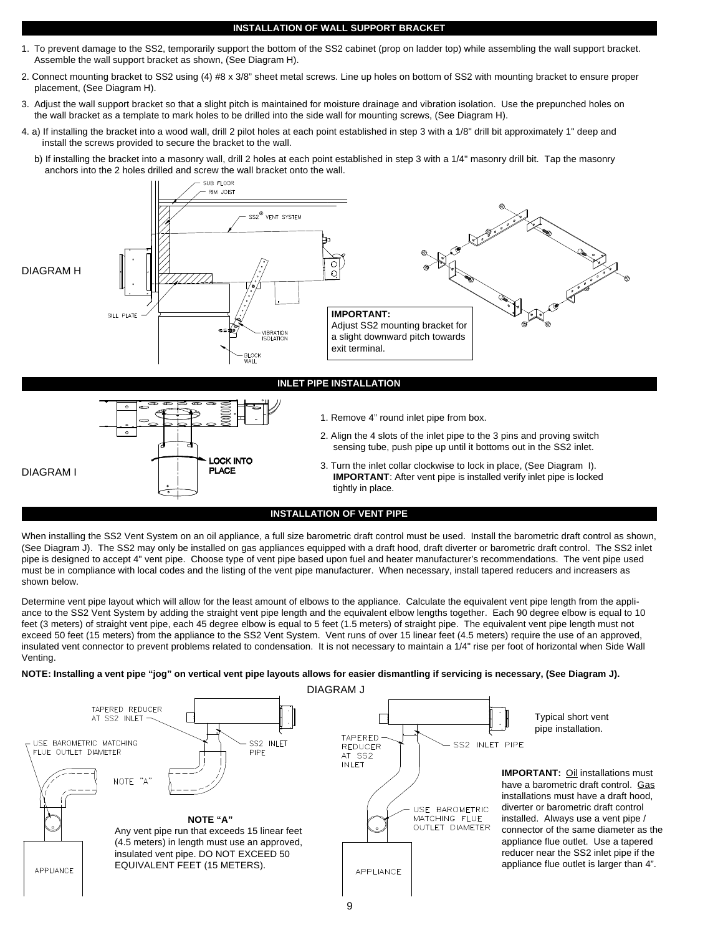#### **INSTALLATION OF WALL SUPPORT BRACKET**

- 1. To prevent damage to the SS2, temporarily support the bottom of the SS2 cabinet (prop on ladder top) while assembling the wall support bracket. Assemble the wall support bracket as shown, (See Diagram H).
- 2. Connect mounting bracket to SS2 using (4) #8 x 3/8" sheet metal screws. Line up holes on bottom of SS2 with mounting bracket to ensure proper placement, (See Diagram H).
- 3. Adjust the wall support bracket so that a slight pitch is maintained for moisture drainage and vibration isolation. Use the prepunched holes on the wall bracket as a template to mark holes to be drilled into the side wall for mounting screws, (See Diagram H).
- 4. a) If installing the bracket into a wood wall, drill 2 pilot holes at each point established in step 3 with a 1/8" drill bit approximately 1" deep and install the screws provided to secure the bracket to the wall.
	- b) If installing the bracket into a masonry wall, drill 2 holes at each point established in step 3 with a 1/4" masonry drill bit. Tap the masonry anchors into the 2 holes drilled and screw the wall bracket onto the wall.



When installing the SS2 Vent System on an oil appliance, a full size barometric draft control must be used. Install the barometric draft control as shown, (See Diagram J). The SS2 may only be installed on gas appliances equipped with a draft hood, draft diverter or barometric draft control. The SS2 inlet pipe is designed to accept 4" vent pipe. Choose type of vent pipe based upon fuel and heater manufacturer's recommendations. The vent pipe used must be in compliance with local codes and the listing of the vent pipe manufacturer. When necessary, install tapered reducers and increasers as shown below.

Determine vent pipe layout which will allow for the least amount of elbows to the appliance. Calculate the equivalent vent pipe length from the appliance to the SS2 Vent System by adding the straight vent pipe length and the equivalent elbow lengths together. Each 90 degree elbow is equal to 10 feet (3 meters) of straight vent pipe, each 45 degree elbow is equal to 5 feet (1.5 meters) of straight pipe. The equivalent vent pipe length must not exceed 50 feet (15 meters) from the appliance to the SS2 Vent System. Vent runs of over 15 linear feet (4.5 meters) require the use of an approved, insulated vent connector to prevent problems related to condensation. It is not necessary to maintain a 1/4" rise per foot of horizontal when Side Wall Venting.

**NOTE: Installing a vent pipe "jog" on vertical vent pipe layouts allows for easier dismantling if servicing is necessary, (See Diagram J).**

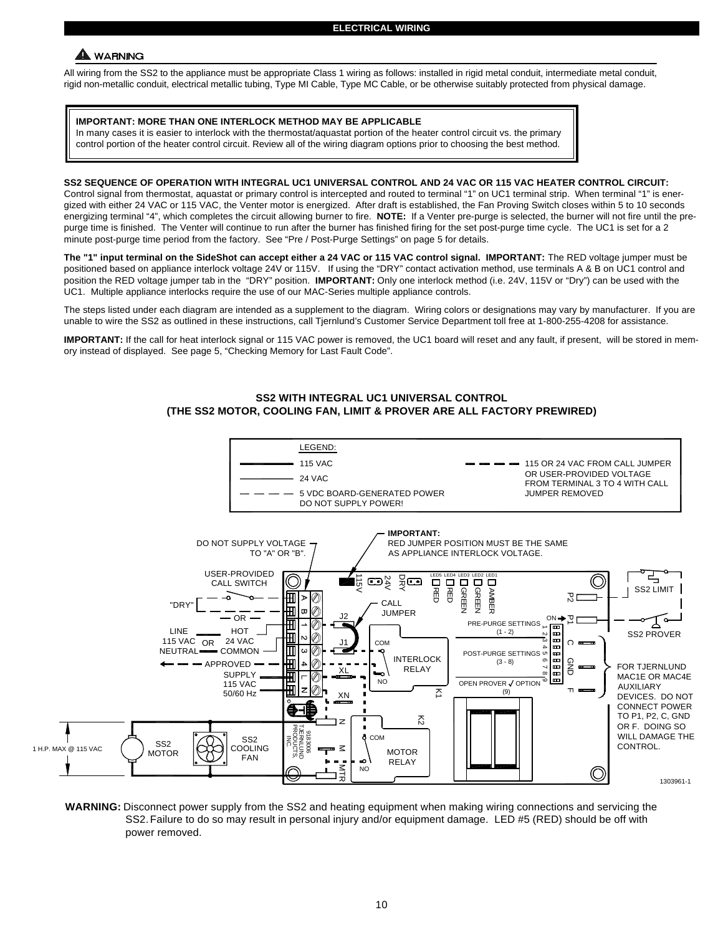# A WARNING

All wiring from the SS2 to the appliance must be appropriate Class 1 wiring as follows: installed in rigid metal conduit, intermediate metal conduit, rigid non-metallic conduit, electrical metallic tubing, Type MI Cable, Type MC Cable, or be otherwise suitably protected from physical damage.

# **IMPORTANT: MORE THAN ONE INTERLOCK METHOD MAY BE APPLICABLE**

In many cases it is easier to interlock with the thermostat/aquastat portion of the heater control circuit vs. the primary control portion of the heater control circuit. Review all of the wiring diagram options prior to choosing the best method.

### **SS2 SEQUENCE OF OPERATION WITH INTEGRAL UC1 UNIVERSAL CONTROL AND 24 VAC OR 115 VAC HEATER CONTROL CIRCUIT:**

Control signal from thermostat, aquastat or primary control is intercepted and routed to terminal "1" on UC1 terminal strip. When terminal "1" is energized with either 24 VAC or 115 VAC, the Venter motor is energized. After draft is established, the Fan Proving Switch closes within 5 to 10 seconds energizing terminal "4", which completes the circuit allowing burner to fire. **NOTE:** If a Venter pre-purge is selected, the burner will not fire until the prepurge time is finished. The Venter will continue to run after the burner has finished firing for the set post-purge time cycle. The UC1 is set for a 2 minute post-purge time period from the factory. See "Pre / Post-Purge Settings" on page 5 for details.

**The "1" input terminal on the SideShot can accept either a 24 VAC or 115 VAC control signal. IMPORTANT:** The RED voltage jumper must be positioned based on appliance interlock voltage 24V or 115V. If using the "DRY" contact activation method, use terminals A & B on UC1 control and position the RED voltage jumper tab in the "DRY" position. **IMPORTANT:** Only one interlock method (i.e. 24V, 115V or "Dry") can be used with the UC1. Multiple appliance interlocks require the use of our MAC-Series multiple appliance controls.

The steps listed under each diagram are intended as a supplement to the diagram. Wiring colors or designations may vary by manufacturer. If you are unable to wire the SS2 as outlined in these instructions, call Tjernlund's Customer Service Department toll free at 1-800-255-4208 for assistance.

**IMPORTANT:** If the call for heat interlock signal or 115 VAC power is removed, the UC1 board will reset and any fault, if present, will be stored in memory instead of displayed. See page 5, "Checking Memory for Last Fault Code".

#### LEGEND: 115 VAC 115 OR 24 VAC FROM CALL JUMPER OR USER-PROVIDED VOLTAGE 24 VAC FROM TERMINAL 3 TO 4 WITH CALL 5 VDC BOARD-GENERATED POWER JUMPER REMOVED DO NOT SUPPLY POWER! **IMPORTANT:** DO NOT SUPPLY VOLTAGE RED JUMPER POSITION MUST BE THE SAME TO "A" OR "B". AS APPLIANCE INTERLOCK VOLTAGE. USER-PROVIDED ∩ COM<br>COM<br>COM žœ LED5 LED4 LED3 LED2 CALL SWITCH  $\Box$ ত<br>ত RED RED GREEN SS2 LIMIT GREEN AMBER  $\mathbf H$  $^{\oslash}$ 공모  $\mathbf{r}$ C P1 P2 "DRY" CALL  $\overline{\mathtt{H}}$ Ø JUMPER OR J2 ON ⊞ ł PRE-PURGE SETTINGS LINE **HOT** 4 3 1  $(1 - 2)$ 88 SS2 PROVER 0 24 VAC 115 VAC OR J1 C ᇎ NEUTRAL<sup>-</sub>COMMON</sup> T Ø 8888 POST-PURGE SETTINGS on INTERLOCK APPROVED ₩ の  $(3 - 8)$ 9 7 8 6 င္ဘ ה<br>ד FOR TJERNLUND XL RELAY € SUPPLY MAC1E OR MAC4E د ا NO OPEN PROVER J OPTION 115 VAC AUXILIARY の  $\overline{\Sigma}$ (9) 50/60 Hz XN DEVICES. DO NOT CONNECT POWER TO P1, P2, C, GND  $\mathcal{L}_{2}$ z OR F. DOING SO PRODUCTS, TJERNLUND 9183006 **I**<br>ISC.<br>ISC.<br>ISC. **COM** WILL DAMAGE THE  $\frac{\text{SS2}}{\text{C}}$   $\frac{\text{CS2}}{\text{C}}$   $\frac{\text{SS2}}{\text{C}\cdot\text{C}}$ **CONTROL** 1 H.P. MAX @ 115 VAC  $\leq$ MOTOR **MOTOR** FAN ×, RELAY NO ML<br>こん  $\circledcirc$ 1303961-1

# **SS2 WITH INTEGRAL UC1 UNIVERSAL CONTROL (THE SS2 MOTOR, COOLING FAN, LIMIT & PROVER ARE ALL FACTORY PREWIRED)**

**WARNING:** Disconnect power supply from the SS2 and heating equipment when making wiring connections and servicing the SS2.Failure to do so may result in personal injury and/or equipment damage. LED #5 (RED) should be off with power removed.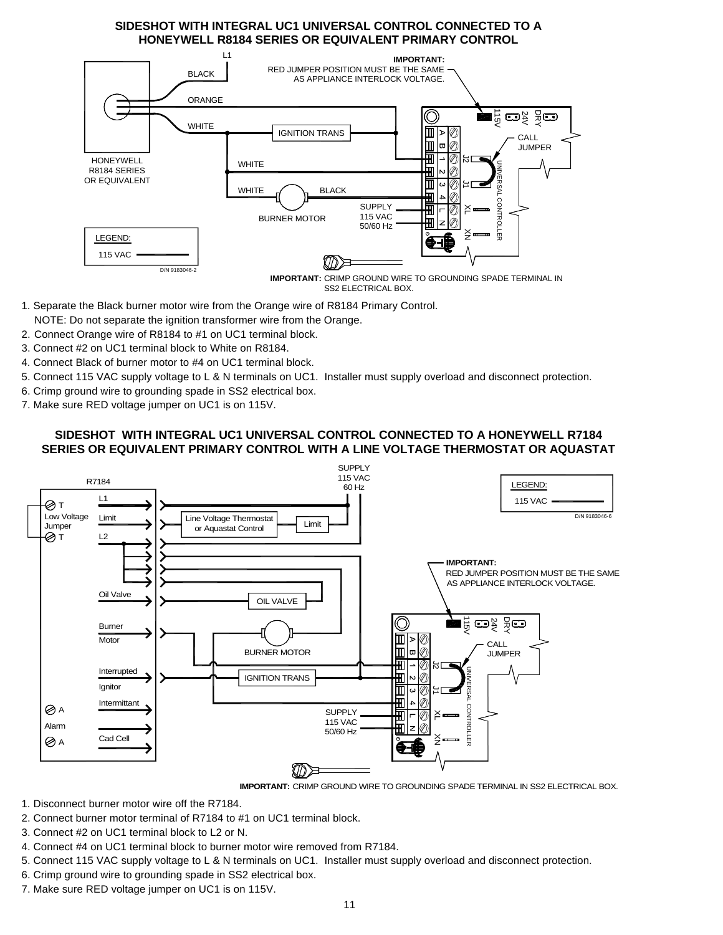# **SIDESHOT WITH INTEGRAL UC1 UNIVERSAL CONTROL CONNECTED TO A HONEYWELL R8184 SERIES OR EQUIVALENT PRIMARY CONTROL**



SS2 ELECTRICAL BOX.

- 1. Separate the Black burner motor wire from the Orange wire of R8184 Primary Control.
- NOTE: Do not separate the ignition transformer wire from the Orange.
- 2. Connect Orange wire of R8184 to #1 on UC1 terminal block.
- 3. Connect #2 on UC1 terminal block to White on R8184.
- 4. Connect Black of burner motor to #4 on UC1 terminal block.
- 5. Connect 115 VAC supply voltage to L & N terminals on UC1. Installer must supply overload and disconnect protection.
- 6. Crimp ground wire to grounding spade in SS2 electrical box.
- 7. Make sure RED voltage jumper on UC1 is on 115V.

# **SIDESHOT WITH INTEGRAL UC1 UNIVERSAL CONTROL CONNECTED TO A HONEYWELL R7184 SERIES OR EQUIVALENT PRIMARY CONTROL WITH A LINE VOLTAGE THERMOSTAT OR AQUASTAT**



**IMPORTANT:** CRIMP GROUND WIRE TO GROUNDING SPADE TERMINAL IN SS2 ELECTRICAL BOX.

- 1. Disconnect burner motor wire off the R7184.
- 2. Connect burner motor terminal of R7184 to #1 on UC1 terminal block.
- 3. Connect #2 on UC1 terminal block to L2 or N.
- 4. Connect #4 on UC1 terminal block to burner motor wire removed from R7184.
- 5. Connect 115 VAC supply voltage to L & N terminals on UC1. Installer must supply overload and disconnect protection.
- 6. Crimp ground wire to grounding spade in SS2 electrical box.
- 7. Make sure RED voltage jumper on UC1 is on 115V.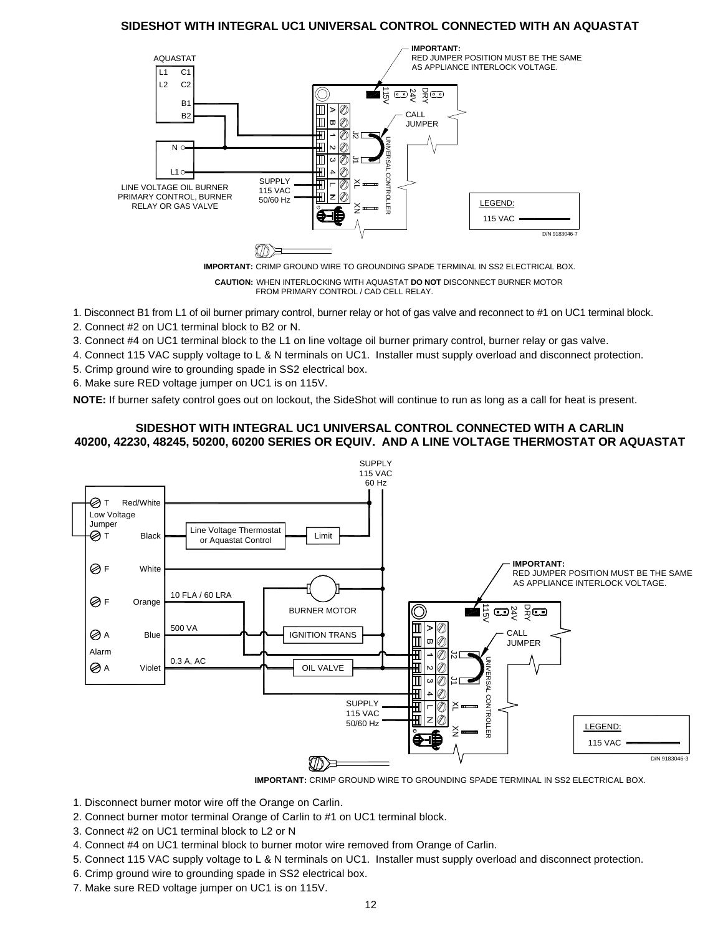# **SIDESHOT WITH INTEGRAL UC1 UNIVERSAL CONTROL CONNECTED WITH AN AQUASTAT**



**IMPORTANT:** CRIMP GROUND WIRE TO GROUNDING SPADE TERMINAL IN SS2 ELECTRICAL BOX.

**CAUTION:** WHEN INTERLOCKING WITH AQUASTAT **DO NOT** DISCONNECT BURNER MOTOR FROM PRIMARY CONTROL / CAD CELL RELAY.

1. Disconnect B1 from L1 of oil burner primary control, burner relay or hot of gas valve and reconnect to #1 on UC1 terminal block.

2. Connect #2 on UC1 terminal block to B2 or N.

3. Connect #4 on UC1 terminal block to the L1 on line voltage oil burner primary control, burner relay or gas valve.

4. Connect 115 VAC supply voltage to L & N terminals on UC1. Installer must supply overload and disconnect protection.

- 5. Crimp ground wire to grounding spade in SS2 electrical box.
- 6. Make sure RED voltage jumper on UC1 is on 115V.

**NOTE:** If burner safety control goes out on lockout, the SideShot will continue to run as long as a call for heat is present.

# **SIDESHOT WITH INTEGRAL UC1 UNIVERSAL CONTROL CONNECTED WITH A CARLIN 40200, 42230, 48245, 50200, 60200 SERIES OR EQUIV. AND A LINE VOLTAGE THERMOSTAT OR AQUASTAT**





- 1. Disconnect burner motor wire off the Orange on Carlin.
- 2. Connect burner motor terminal Orange of Carlin to #1 on UC1 terminal block.
- 3. Connect #2 on UC1 terminal block to L2 or N
- 4. Connect #4 on UC1 terminal block to burner motor wire removed from Orange of Carlin.
- 5. Connect 115 VAC supply voltage to L & N terminals on UC1. Installer must supply overload and disconnect protection.
- 6. Crimp ground wire to grounding spade in SS2 electrical box.
- 7. Make sure RED voltage jumper on UC1 is on 115V.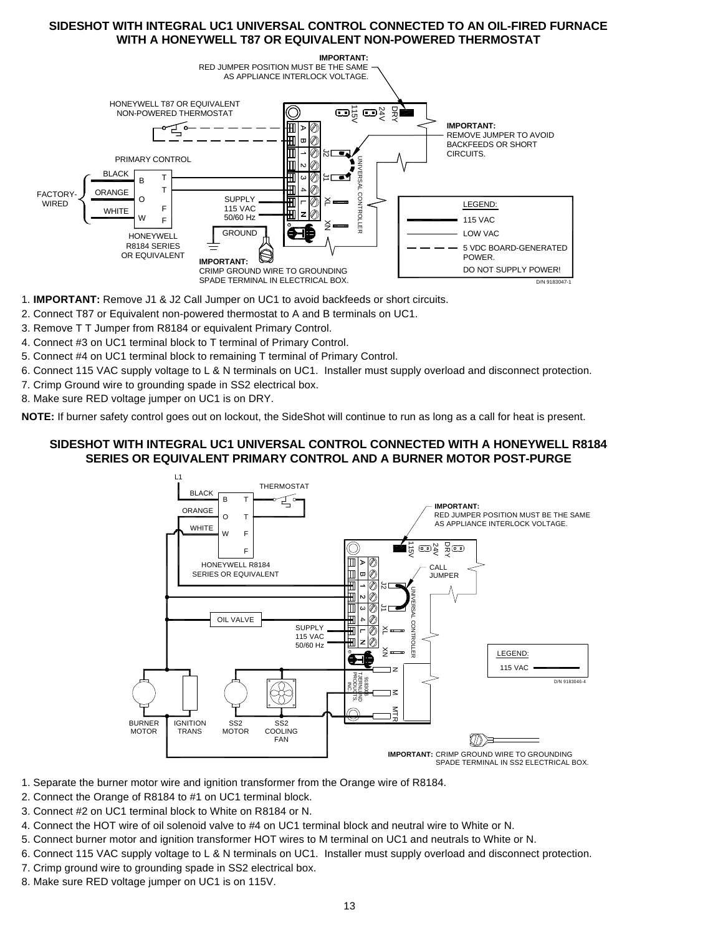# **SIDESHOT WITH INTEGRAL UC1 UNIVERSAL CONTROL CONNECTED TO AN OIL-FIRED FURNACE WITH A HONEYWELL T87 OR EQUIVALENT NON-POWERED THERMOSTAT**



- 1. **IMPORTANT:** Remove J1 & J2 Call Jumper on UC1 to avoid backfeeds or short circuits.
- 2. Connect T87 or Equivalent non-powered thermostat to A and B terminals on UC1.
- 3. Remove T T Jumper from R8184 or equivalent Primary Control.
- 4. Connect #3 on UC1 terminal block to T terminal of Primary Control.
- 5. Connect #4 on UC1 terminal block to remaining T terminal of Primary Control.
- 6. Connect 115 VAC supply voltage to L & N terminals on UC1. Installer must supply overload and disconnect protection.
- 7. Crimp Ground wire to grounding spade in SS2 electrical box.
- 8. Make sure RED voltage jumper on UC1 is on DRY.

**NOTE:** If burner safety control goes out on lockout, the SideShot will continue to run as long as a call for heat is present.

# **SIDESHOT WITH INTEGRAL UC1 UNIVERSAL CONTROL CONNECTED WITH A HONEYWELL R8184 SERIES OR EQUIVALENT PRIMARY CONTROL AND A BURNER MOTOR POST-PURGE**



- 1. Separate the burner motor wire and ignition transformer from the Orange wire of R8184.
- 2. Connect the Orange of R8184 to #1 on UC1 terminal block.
- 3. Connect #2 on UC1 terminal block to White on R8184 or N.
- 4. Connect the HOT wire of oil solenoid valve to #4 on UC1 terminal block and neutral wire to White or N.
- 5. Connect burner motor and ignition transformer HOT wires to M terminal on UC1 and neutrals to White or N.
- 6. Connect 115 VAC supply voltage to L & N terminals on UC1. Installer must supply overload and disconnect protection.
- 7. Crimp ground wire to grounding spade in SS2 electrical box.
- 8. Make sure RED voltage jumper on UC1 is on 115V.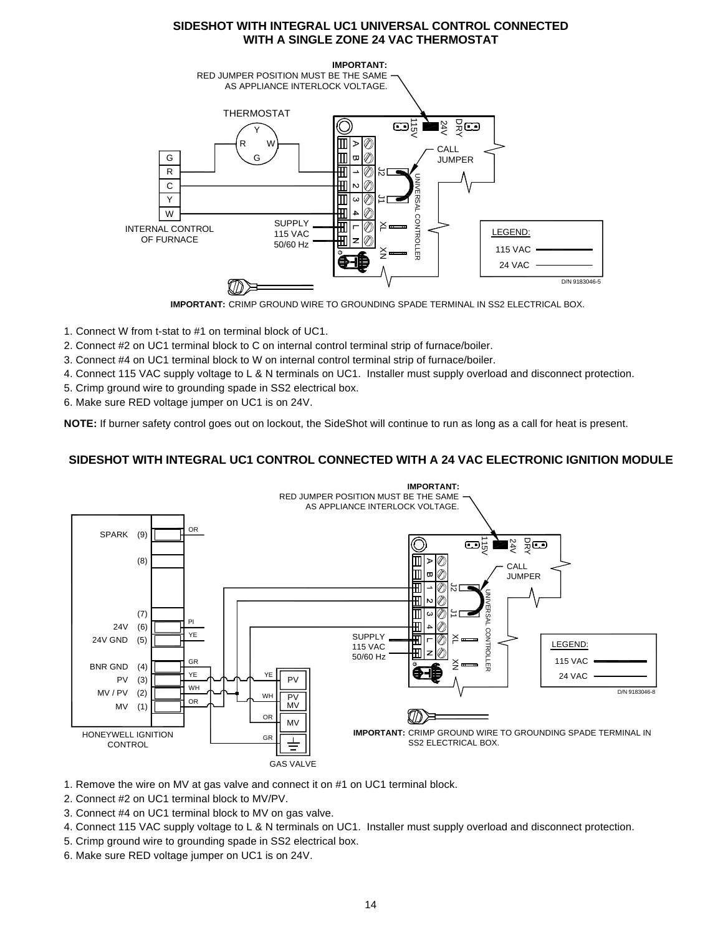# **SIDESHOT WITH INTEGRAL UC1 UNIVERSAL CONTROL CONNECTED WITH A SINGLE ZONE 24 VAC THERMOSTAT**



**IMPORTANT:** CRIMP GROUND WIRE TO GROUNDING SPADE TERMINAL IN SS2 ELECTRICAL BOX.

- 1. Connect W from t-stat to #1 on terminal block of UC1.
- 2. Connect #2 on UC1 terminal block to C on internal control terminal strip of furnace/boiler.
- 3. Connect #4 on UC1 terminal block to W on internal control terminal strip of furnace/boiler.
- 4. Connect 115 VAC supply voltage to L & N terminals on UC1. Installer must supply overload and disconnect protection.
- 5. Crimp ground wire to grounding spade in SS2 electrical box.
- 6. Make sure RED voltage jumper on UC1 is on 24V.

**NOTE:** If burner safety control goes out on lockout, the SideShot will continue to run as long as a call for heat is present.

# **SIDESHOT WITH INTEGRAL UC1 CONTROL CONNECTED WITH A 24 VAC ELECTRONIC IGNITION MODULE**



- 1. Remove the wire on MV at gas valve and connect it on #1 on UC1 terminal block.
- 2. Connect #2 on UC1 terminal block to MV/PV.
- 3. Connect #4 on UC1 terminal block to MV on gas valve.
- 4. Connect 115 VAC supply voltage to L & N terminals on UC1. Installer must supply overload and disconnect protection.
- 5. Crimp ground wire to grounding spade in SS2 electrical box.
- 6. Make sure RED voltage jumper on UC1 is on 24V.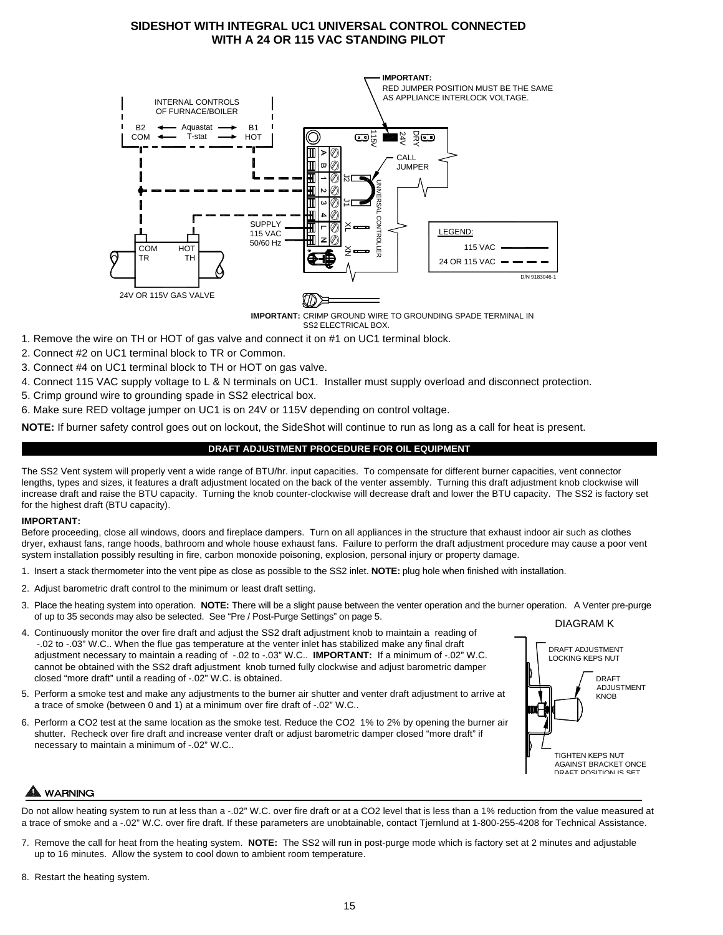# **SIDESHOT WITH INTEGRAL UC1 UNIVERSAL CONTROL CONNECTED WITH A 24 OR 115 VAC STANDING PILOT**



SS2 ELECTRICAL BOX. **IMPORTANT:** CRIMP GROUND WIRE TO GROUNDING SPADE TERMINAL IN

- 1. Remove the wire on TH or HOT of gas valve and connect it on #1 on UC1 terminal block.
- 2. Connect #2 on UC1 terminal block to TR or Common.
- 3. Connect #4 on UC1 terminal block to TH or HOT on gas valve.
- 4. Connect 115 VAC supply voltage to L & N terminals on UC1. Installer must supply overload and disconnect protection.
- 5. Crimp ground wire to grounding spade in SS2 electrical box.

6. Make sure RED voltage jumper on UC1 is on 24V or 115V depending on control voltage.

**NOTE:** If burner safety control goes out on lockout, the SideShot will continue to run as long as a call for heat is present.

# **DRAFT ADJUSTMENT PROCEDURE FOR OIL EQUIPMENT**

The SS2 Vent system will properly vent a wide range of BTU/hr. input capacities. To compensate for different burner capacities, vent connector lengths, types and sizes, it features a draft adjustment located on the back of the venter assembly. Turning this draft adjustment knob clockwise will increase draft and raise the BTU capacity. Turning the knob counter-clockwise will decrease draft and lower the BTU capacity. The SS2 is factory set for the highest draft (BTU capacity).

# **IMPORTANT:**

Before proceeding, close all windows, doors and fireplace dampers. Turn on all appliances in the structure that exhaust indoor air such as clothes dryer, exhaust fans, range hoods, bathroom and whole house exhaust fans. Failure to perform the draft adjustment procedure may cause a poor vent system installation possibly resulting in fire, carbon monoxide poisoning, explosion, personal injury or property damage.

- 1. Insert a stack thermometer into the vent pipe as close as possible to the SS2 inlet. **NOTE:** plug hole when finished with installation.
- 2. Adjust barometric draft control to the minimum or least draft setting.
- 3. Place the heating system into operation. **NOTE:** There will be a slight pause between the venter operation and the burner operation. A Venter pre-purge of up to 35 seconds may also be selected. See "Pre / Post-Purge Settings" on page 5. DIAGRAM K
- 4. Continuously monitor the over fire draft and adjust the SS2 draft adjustment knob to maintain a reading of -.02 to -.03" W.C.. When the flue gas temperature at the venter inlet has stabilized make any final draft adjustment necessary to maintain a reading of -.02 to -.03" W.C.. **IMPORTANT:** If a minimum of -.02" W.C. cannot be obtained with the SS2 draft adjustment knob turned fully clockwise and adjust barometric damper closed "more draft" until a reading of -.02" W.C. is obtained.
- 5. Perform a smoke test and make any adjustments to the burner air shutter and venter draft adjustment to arrive at a trace of smoke (between 0 and 1) at a minimum over fire draft of -.02" W.C..
- 6. Perform a CO2 test at the same location as the smoke test. Reduce the CO2 1% to 2% by opening the burner air shutter. Recheck over fire draft and increase venter draft or adjust barometric damper closed "more draft" if necessary to maintain a minimum of -.02" W.C..



# A WARNING

Do not allow heating system to run at less than a -.02" W.C. over fire draft or at a CO2 level that is less than a 1% reduction from the value measured at a trace of smoke and a -.02" W.C. over fire draft. If these parameters are unobtainable, contact Tjernlund at 1-800-255-4208 for Technical Assistance.

- 7. Remove the call for heat from the heating system. **NOTE:** The SS2 will run in post-purge mode which is factory set at 2 minutes and adjustable up to 16 minutes. Allow the system to cool down to ambient room temperature.
- 8. Restart the heating system.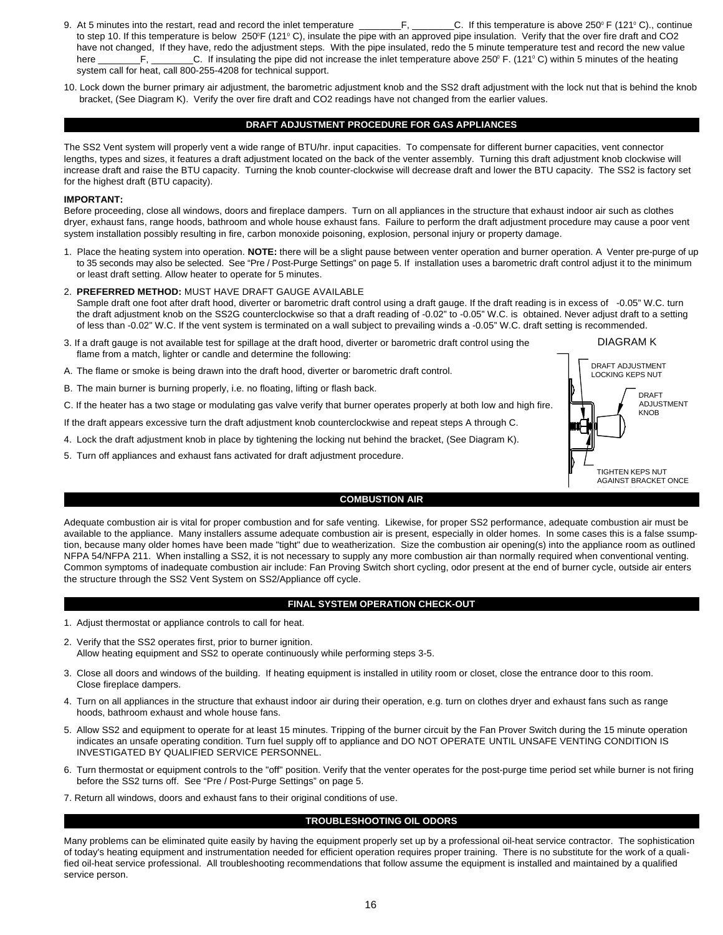- 9. At 5 minutes into the restart, read and record the inlet temperature \_\_\_\_\_\_\_\_\_\_\_\_\_\_\_\_\_\_\_C. If this temperature is above 250° F (121°C)., continue to step 10. If this temperature is below 250°F (121°C), insulate the pipe with an approved pipe insulation. Verify that the over fire draft and CO2 have not changed, If they have, redo the adjustment steps. With the pipe insulated, redo the 5 minute temperature test and record the new value here \_\_\_\_\_\_\_\_F, \_\_\_\_\_\_\_\_C. If insulating the pipe did not increase the inlet temperature above 250° F. (121°C) within 5 minutes of the heating system call for heat, call 800-255-4208 for technical support.
- 10. Lock down the burner primary air adjustment, the barometric adjustment knob and the SS2 draft adjustment with the lock nut that is behind the knob bracket, (See Diagram K). Verify the over fire draft and CO2 readings have not changed from the earlier values.

### **DRAFT ADJUSTMENT PROCEDURE FOR GAS APPLIANCES**

The SS2 Vent system will properly vent a wide range of BTU/hr. input capacities. To compensate for different burner capacities, vent connector lengths, types and sizes, it features a draft adjustment located on the back of the venter assembly. Turning this draft adjustment knob clockwise will increase draft and raise the BTU capacity. Turning the knob counter-clockwise will decrease draft and lower the BTU capacity. The SS2 is factory set for the highest draft (BTU capacity).

#### **IMPORTANT:**

Before proceeding, close all windows, doors and fireplace dampers. Turn on all appliances in the structure that exhaust indoor air such as clothes dryer, exhaust fans, range hoods, bathroom and whole house exhaust fans. Failure to perform the draft adjustment procedure may cause a poor vent system installation possibly resulting in fire, carbon monoxide poisoning, explosion, personal injury or property damage.

- 1. Place the heating system into operation. **NOTE:** there will be a slight pause between venter operation and burner operation. A Venter pre-purge of up to 35 seconds may also be selected. See "Pre / Post-Purge Settings" on page 5. If installation uses a barometric draft control adjust it to the minimum or least draft setting. Allow heater to operate for 5 minutes.
- 2. **PREFERRED METHOD:** MUST HAVE DRAFT GAUGE AVAILABLE Sample draft one foot after draft hood, diverter or barometric draft control using a draft gauge. If the draft reading is in excess of -0.05" W.C. turn the draft adjustment knob on the SS2G counterclockwise so that a draft reading of -0.02" to -0.05" W.C. is obtained. Never adjust draft to a setting of less than -0.02" W.C. If the vent system is terminated on a wall subject to prevailing winds a -0.05" W.C. draft setting is recommended.
- 3. If a draft gauge is not available test for spillage at the draft hood, diverter or barometric draft control using the flame from a match, lighter or candle and determine the following:
- A. The flame or smoke is being drawn into the draft hood, diverter or barometric draft control.
- B. The main burner is burning properly, i.e. no floating, lifting or flash back.
- C. If the heater has a two stage or modulating gas valve verify that burner operates properly at both low and high fire.
- If the draft appears excessive turn the draft adjustment knob counterclockwise and repeat steps A through C.
- 4. Lock the draft adjustment knob in place by tightening the locking nut behind the bracket, (See Diagram K).
- 5. Turn off appliances and exhaust fans activated for draft adjustment procedure.



### **COMBUSTION AIR**

Adequate combustion air is vital for proper combustion and for safe venting. Likewise, for proper SS2 performance, adequate combustion air must be available to the appliance. Many installers assume adequate combustion air is present, especially in older homes. In some cases this is a false ssumption, because many older homes have been made "tight" due to weatherization. Size the combustion air opening(s) into the appliance room as outlined NFPA 54/NFPA 211. When installing a SS2, it is not necessary to supply any more combustion air than normally required when conventional venting. Common symptoms of inadequate combustion air include: Fan Proving Switch short cycling, odor present at the end of burner cycle, outside air enters the structure through the SS2 Vent System on SS2/Appliance off cycle.

# **FINAL SYSTEM OPERATION CHECK-OUT**

- 1. Adjust thermostat or appliance controls to call for heat.
- 2. Verify that the SS2 operates first, prior to burner ignition. Allow heating equipment and SS2 to operate continuously while performing steps 3-5.
- 3. Close all doors and windows of the building. If heating equipment is installed in utility room or closet, close the entrance door to this room. Close fireplace dampers.
- 4. Turn on all appliances in the structure that exhaust indoor air during their operation, e.g. turn on clothes dryer and exhaust fans such as range hoods, bathroom exhaust and whole house fans.
- 5. Allow SS2 and equipment to operate for at least 15 minutes. Tripping of the burner circuit by the Fan Prover Switch during the 15 minute operation indicates an unsafe operating condition. Turn fuel supply off to appliance and DO NOT OPERATE UNTIL UNSAFE VENTING CONDITION IS INVESTIGATED BY QUALIFIED SERVICE PERSONNEL.
- 6. Turn thermostat or equipment controls to the "off" position. Verify that the venter operates for the post-purge time period set while burner is not firing before the SS2 turns off. See "Pre / Post-Purge Settings" on page 5.
- 7. Return all windows, doors and exhaust fans to their original conditions of use.

# **TROUBLESHOOTING OIL ODORS**

Many problems can be eliminated quite easily by having the equipment properly set up by a professional oil-heat service contractor. The sophistication of today's heating equipment and instrumentation needed for efficient operation requires proper training. There is no substitute for the work of a qualified oil-heat service professional. All troubleshooting recommendations that follow assume the equipment is installed and maintained by a qualified service person.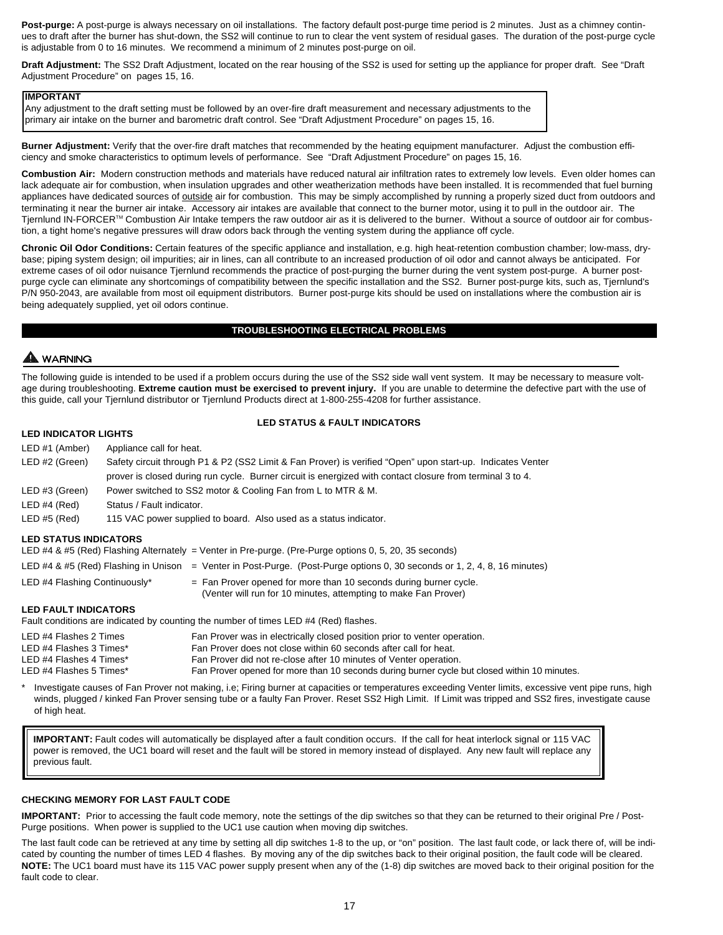**Post-purge:** A post-purge is always necessary on oil installations. The factory default post-purge time period is 2 minutes. Just as a chimney continues to draft after the burner has shut-down, the SS2 will continue to run to clear the vent system of residual gases. The duration of the post-purge cycle is adjustable from 0 to 16 minutes. We recommend a minimum of 2 minutes post-purge on oil.

**Draft Adjustment:** The SS2 Draft Adjustment, located on the rear housing of the SS2 is used for setting up the appliance for proper draft. See "Draft Adjustment Procedure" on pages 15, 16.

#### **IMPORTANT**

Any adjustment to the draft setting must be followed by an over-fire draft measurement and necessary adjustments to the primary air intake on the burner and barometric draft control. See "Draft Adjustment Procedure" on pages 15, 16.

**Burner Adjustment:** Verify that the over-fire draft matches that recommended by the heating equipment manufacturer. Adjust the combustion efficiency and smoke characteristics to optimum levels of performance. See "Draft Adjustment Procedure" on pages 15, 16.

**Combustion Air:** Modern construction methods and materials have reduced natural air infiltration rates to extremely low levels. Even older homes can lack adequate air for combustion, when insulation upgrades and other weatherization methods have been installed. It is recommended that fuel burning appliances have dedicated sources of outside air for combustion. This may be simply accomplished by running a properly sized duct from outdoors and terminating it near the burner air intake. Accessory air intakes are available that connect to the burner motor, using it to pull in the outdoor air. The Tjernlund IN-FORCER™ Combustion Air Intake tempers the raw outdoor air as it is delivered to the burner. Without a source of outdoor air for combustion, a tight home's negative pressures will draw odors back through the venting system during the appliance off cycle.

**Chronic Oil Odor Conditions:** Certain features of the specific appliance and installation, e.g. high heat-retention combustion chamber; low-mass, drybase; piping system design; oil impurities; air in lines, can all contribute to an increased production of oil odor and cannot always be anticipated. For extreme cases of oil odor nuisance Tjernlund recommends the practice of post-purging the burner during the vent system post-purge. A burner postpurge cycle can eliminate any shortcomings of compatibility between the specific installation and the SS2. Burner post-purge kits, such as, Tjernlund's P/N 950-2043, are available from most oil equipment distributors. Burner post-purge kits should be used on installations where the combustion air is being adequately supplied, yet oil odors continue.

#### **TROUBLESHOOTING ELECTRICAL PROBLEMS**

# A WARNING

The following guide is intended to be used if a problem occurs during the use of the SS2 side wall vent system. It may be necessary to measure voltage during troubleshooting. Extreme caution must be exercised to prevent injury. If you are unable to determine the defective part with the use of this guide, call your Tjernlund distributor or Tjernlund Products direct at 1-800-255-4208 for further assistance.

# **LED STATUS & FAULT INDICATORS**

# **LED INDICATOR LIGHTS**

| LED #1 (Amber)                                                                                         | Appliance call for heat.                                                                                                               |  |  |  |
|--------------------------------------------------------------------------------------------------------|----------------------------------------------------------------------------------------------------------------------------------------|--|--|--|
| LED #2 (Green)                                                                                         | Safety circuit through P1 & P2 (SS2 Limit & Fan Prover) is verified "Open" upon start-up. Indicates Venter                             |  |  |  |
|                                                                                                        | prover is closed during run cycle. Burner circuit is energized with contact closure from terminal 3 to 4.                              |  |  |  |
| LED #3 (Green)                                                                                         | Power switched to SS2 motor & Cooling Fan from L to MTR & M.                                                                           |  |  |  |
| LED#4 (Red)                                                                                            | Status / Fault indicator.                                                                                                              |  |  |  |
| LED#5 (Red)                                                                                            | 115 VAC power supplied to board. Also used as a status indicator.                                                                      |  |  |  |
| <b>LED STATUS INDICATORS</b>                                                                           |                                                                                                                                        |  |  |  |
| LED #4 & #5 (Red) Flashing Alternately = Venter in Pre-purge. (Pre-Purge options 0, 5, 20, 35 seconds) |                                                                                                                                        |  |  |  |
|                                                                                                        | LED #4 & #5 (Red) Flashing in Unison<br>$=$ Venter in Post-Purge. (Post-Purge options 0, 30 seconds or 1, 2, 4, 8, 16 minutes)         |  |  |  |
| LED #4 Flashing Continuously*                                                                          | $=$ Fan Prover opened for more than 10 seconds during burner cycle.<br>(Venter will run for 10 minutes, attempting to make Fan Prover) |  |  |  |

# **LED FAULT INDICATORS**

Fault conditions are indicated by counting the number of times LED #4 (Red) flashes.

| LED #4 Flashes 2 Times  | Fan Prover was in electrically closed position prior to venter operation.                    |
|-------------------------|----------------------------------------------------------------------------------------------|
| LED #4 Flashes 3 Times* | Fan Prover does not close within 60 seconds after call for heat.                             |
| LED #4 Flashes 4 Times* | Fan Prover did not re-close after 10 minutes of Venter operation.                            |
| LED #4 Flashes 5 Times* | Fan Prover opened for more than 10 seconds during burner cycle but closed within 10 minutes. |

Investigate causes of Fan Prover not making, i.e; Firing burner at capacities or temperatures exceeding Venter limits, excessive vent pipe runs, high winds, plugged / kinked Fan Prover sensing tube or a faulty Fan Prover. Reset SS2 High Limit. If Limit was tripped and SS2 fires, investigate cause of high heat.

**IMPORTANT:** Fault codes will automatically be displayed after a fault condition occurs. If the call for heat interlock signal or 115 VAC power is removed, the UC1 board will reset and the fault will be stored in memory instead of displayed. Any new fault will replace any previous fault.

# **CHECKING MEMORY FOR LAST FAULT CODE**

**IMPORTANT:** Prior to accessing the fault code memory, note the settings of the dip switches so that they can be returned to their original Pre / Post-Purge positions. When power is supplied to the UC1 use caution when moving dip switches.

The last fault code can be retrieved at any time by setting all dip switches 1-8 to the up, or "on" position. The last fault code, or lack there of, will be indicated by counting the number of times LED 4 flashes. By moving any of the dip switches back to their original position, the fault code will be cleared. **NOTE:** The UC1 board must have its 115 VAC power supply present when any of the (1-8) dip switches are moved back to their original position for the fault code to clear.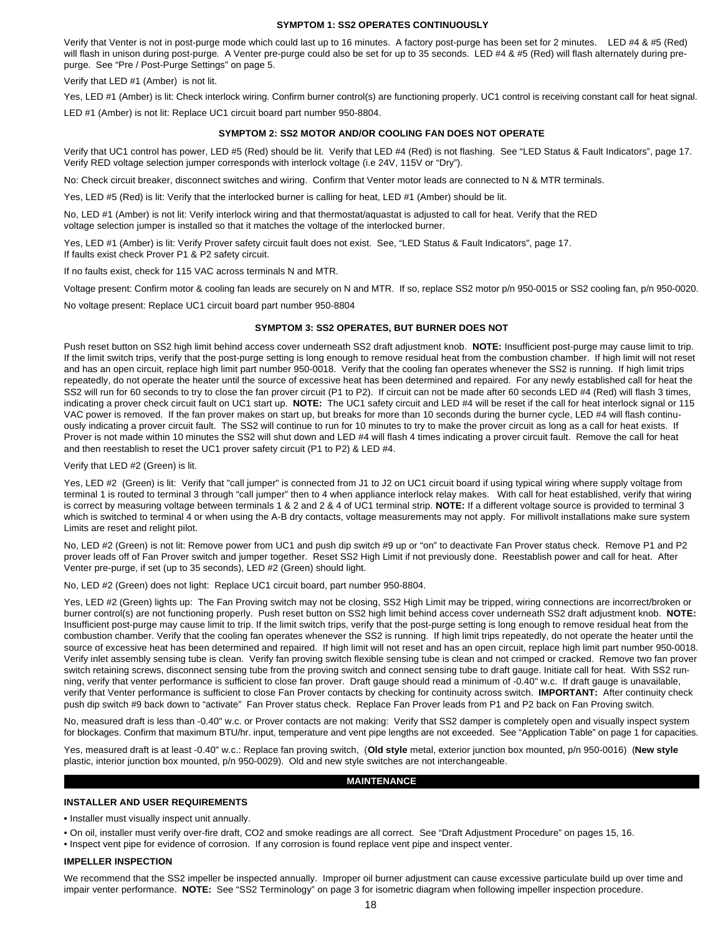### **SYMPTOM 1: SS2 OPERATES CONTINUOUSLY**

Verify that Venter is not in post-purge mode which could last up to 16 minutes. A factory post-purge has been set for 2 minutes. LED #4 & #5 (Red) will flash in unison during post-purge. A Venter pre-purge could also be set for up to 35 seconds. LED #4 & #5 (Red) will flash alternately during prepurge. See "Pre / Post-Purge Settings" on page 5.

Verify that LED #1 (Amber) is not lit.

Yes, LED #1 (Amber) is lit: Check interlock wiring. Confirm burner control(s) are functioning properly. UC1 control is receiving constant call for heat signal. LED #1 (Amber) is not lit: Replace UC1 circuit board part number 950-8804.

### **SYMPTOM 2: SS2 MOTOR AND/OR COOLING FAN DOES NOT OPERATE**

Verify that UC1 control has power, LED #5 (Red) should be lit. Verify that LED #4 (Red) is not flashing. See "LED Status & Fault Indicators", page 17. Verify RED voltage selection jumper corresponds with interlock voltage (i.e 24V, 115V or "Dry").

No: Check circuit breaker, disconnect switches and wiring. Confirm that Venter motor leads are connected to N & MTR terminals.

Yes, LED #5 (Red) is lit: Verify that the interlocked burner is calling for heat, LED #1 (Amber) should be lit.

No, LED #1 (Amber) is not lit: Verify interlock wiring and that thermostat/aquastat is adjusted to call for heat. Verify that the RED voltage selection jumper is installed so that it matches the voltage of the interlocked burner.

Yes, LED #1 (Amber) is lit: Verify Prover safety circuit fault does not exist. See, "LED Status & Fault Indicators", page 17. If faults exist check Prover P1 & P2 safety circuit.

If no faults exist, check for 115 VAC across terminals N and MTR.

Voltage present: Confirm motor & cooling fan leads are securely on N and MTR. If so, replace SS2 motor p/n 950-0015 or SS2 cooling fan, p/n 950-0020.

No voltage present: Replace UC1 circuit board part number 950-8804

#### **SYMPTOM 3: SS2 OPERATES, BUT BURNER DOES NOT**

Push reset button on SS2 high limit behind access cover underneath SS2 draft adjustment knob. **NOTE:** Insufficient post-purge may cause limit to trip. If the limit switch trips, verify that the post-purge setting is long enough to remove residual heat from the combustion chamber. If high limit will not reset and has an open circuit, replace high limit part number 950-0018. Verify that the cooling fan operates whenever the SS2 is running. If high limit trips repeatedly, do not operate the heater until the source of excessive heat has been determined and repaired. For any newly established call for heat the SS2 will run for 60 seconds to try to close the fan prover circuit (P1 to P2). If circuit can not be made after 60 seconds LED #4 (Red) will flash 3 times, indicating a prover check circuit fault on UC1 start up. **NOTE:** The UC1 safety circuit and LED #4 will be reset if the call for heat interlock signal or 115 VAC power is removed. If the fan prover makes on start up, but breaks for more than 10 seconds during the burner cycle, LED #4 will flash continuously indicating a prover circuit fault. The SS2 will continue to run for 10 minutes to try to make the prover circuit as long as a call for heat exists. If Prover is not made within 10 minutes the SS2 will shut down and LED #4 will flash 4 times indicating a prover circuit fault. Remove the call for heat and then reestablish to reset the UC1 prover safety circuit (P1 to P2) & LED #4.

Verify that LED #2 (Green) is lit.

Yes, LED #2 (Green) is lit: Verify that "call jumper" is connected from J1 to J2 on UC1 circuit board if using typical wiring where supply voltage from terminal 1 is routed to terminal 3 through "call jumper" then to 4 when appliance interlock relay makes. With call for heat established, verify that wiring is correct by measuring voltage between terminals 1 & 2 and 2 & 4 of UC1 terminal strip. **NOTE:** If a different voltage source is provided to terminal 3 which is switched to terminal 4 or when using the A-B dry contacts, voltage measurements may not apply. For millivolt installations make sure system Limits are reset and relight pilot.

No, LED #2 (Green) is not lit: Remove power from UC1 and push dip switch #9 up or "on" to deactivate Fan Prover status check. Remove P1 and P2 prover leads off of Fan Prover switch and jumper together. Reset SS2 High Limit if not previously done. Reestablish power and call for heat. After Venter pre-purge, if set (up to 35 seconds), LED #2 (Green) should light.

No, LED #2 (Green) does not light: Replace UC1 circuit board, part number 950-8804.

Yes, LED #2 (Green) lights up: The Fan Proving switch may not be closing, SS2 High Limit may be tripped, wiring connections are incorrect/broken or burner control(s) are not functioning properly. Push reset button on SS2 high limit behind access cover underneath SS2 draft adjustment knob. **NOTE:** Insufficient post-purge may cause limit to trip. If the limit switch trips, verify that the post-purge setting is long enough to remove residual heat from the combustion chamber. Verify that the cooling fan operates whenever the SS2 is running. If high limit trips repeatedly, do not operate the heater until the source of excessive heat has been determined and repaired. If high limit will not reset and has an open circuit, replace high limit part number 950-0018. Verify inlet assembly sensing tube is clean. Verify fan proving switch flexible sensing tube is clean and not crimped or cracked. Remove two fan prover switch retaining screws, disconnect sensing tube from the proving switch and connect sensing tube to draft gauge. Initiate call for heat. With SS2 running, verify that venter performance is sufficient to close fan prover. Draft gauge should read a minimum of -0.40" w.c. If draft gauge is unavailable, verify that Venter performance is sufficient to close Fan Prover contacts by checking for continuity across switch. **IMPORTANT:** After continuity check push dip switch #9 back down to "activate" Fan Prover status check. Replace Fan Prover leads from P1 and P2 back on Fan Proving switch.

No, measured draft is less than -0.40" w.c. or Prover contacts are not making: Verify that SS2 damper is completely open and visually inspect system for blockages. Confirm that maximum BTU/hr. input, temperature and vent pipe lengths are not exceeded. See "Application Table" on page 1 for capacities.

Yes, measured draft is at least -0.40" w.c.: Replace fan proving switch, (**Old style** metal, exterior junction box mounted, p/n 950-0016) (**New style** plastic, interior junction box mounted, p/n 950-0029). Old and new style switches are not interchangeable.

# **MAINTENANCE**

### **INSTALLER AND USER REQUIREMENTS**

**•** Installer must visually inspect unit annually.

- On oil, installer must verify over-fire draft, CO2 and smoke readings are all correct. See "Draft Adjustment Procedure" on pages 15, 16.
- Inspect vent pipe for evidence of corrosion. If any corrosion is found replace vent pipe and inspect venter.

## **IMPELLER INSPECTION**

We recommend that the SS2 impeller be inspected annually. Improper oil burner adjustment can cause excessive particulate build up over time and impair venter performance. **NOTE:** See "SS2 Terminology" on page 3 for isometric diagram when following impeller inspection procedure.